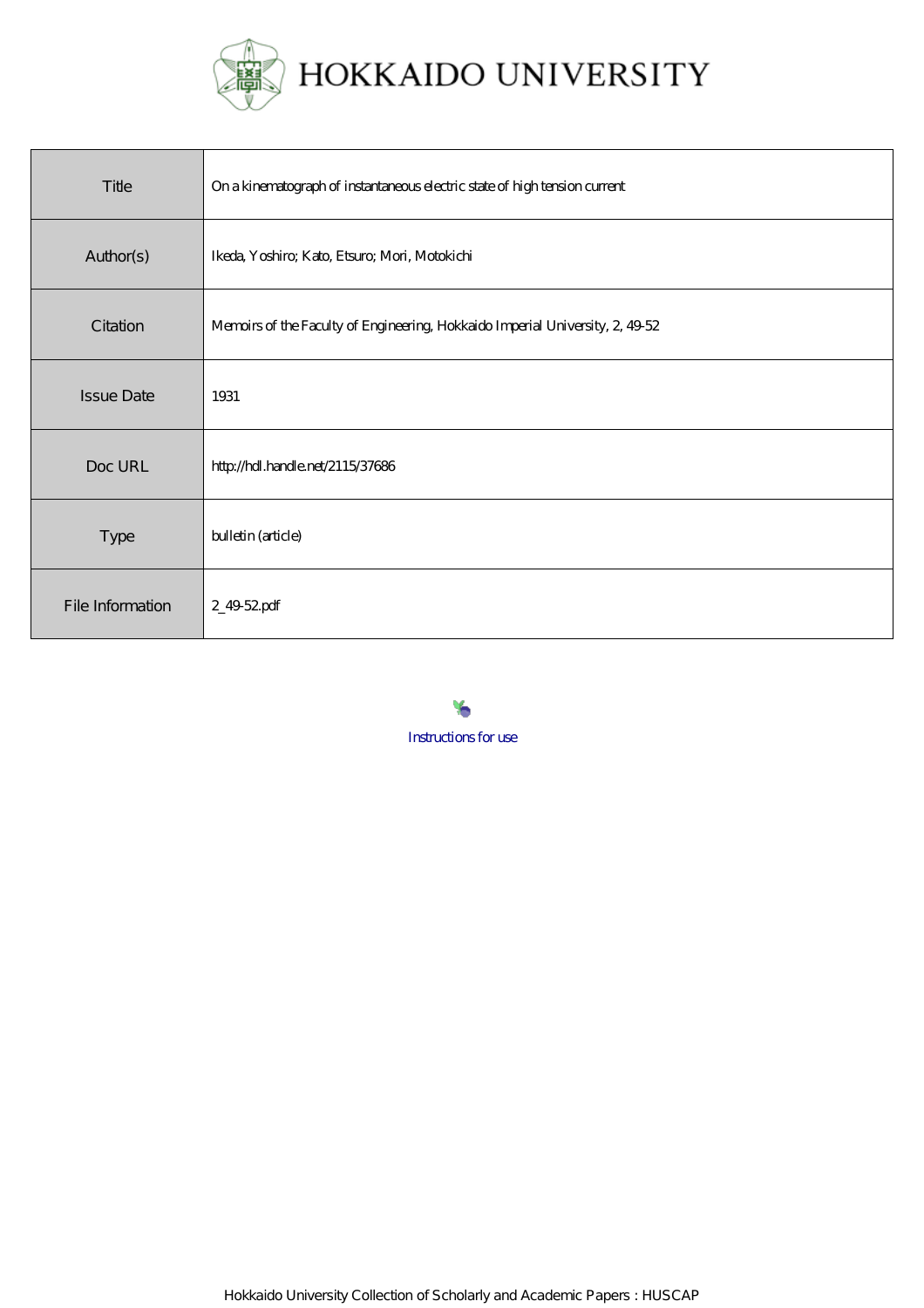

| Title             | On a kinematograph of instantaneous electric state of high tension current    |
|-------------------|-------------------------------------------------------------------------------|
| Author(s)         | Ikeda, Yoshiro; Kato, Etsuro; Mori, Motokichi                                 |
| Citation          | Memoirs of the Faculty of Engineering, Hokkaido Imperial University, 2, 49-52 |
| <b>Issue Date</b> | 1931                                                                          |
| Doc URL           | http://hdl.handle.net/2115/37686                                              |
| <b>Type</b>       | bulletin (article)                                                            |
| File Information  | 2_4952pdf                                                                     |

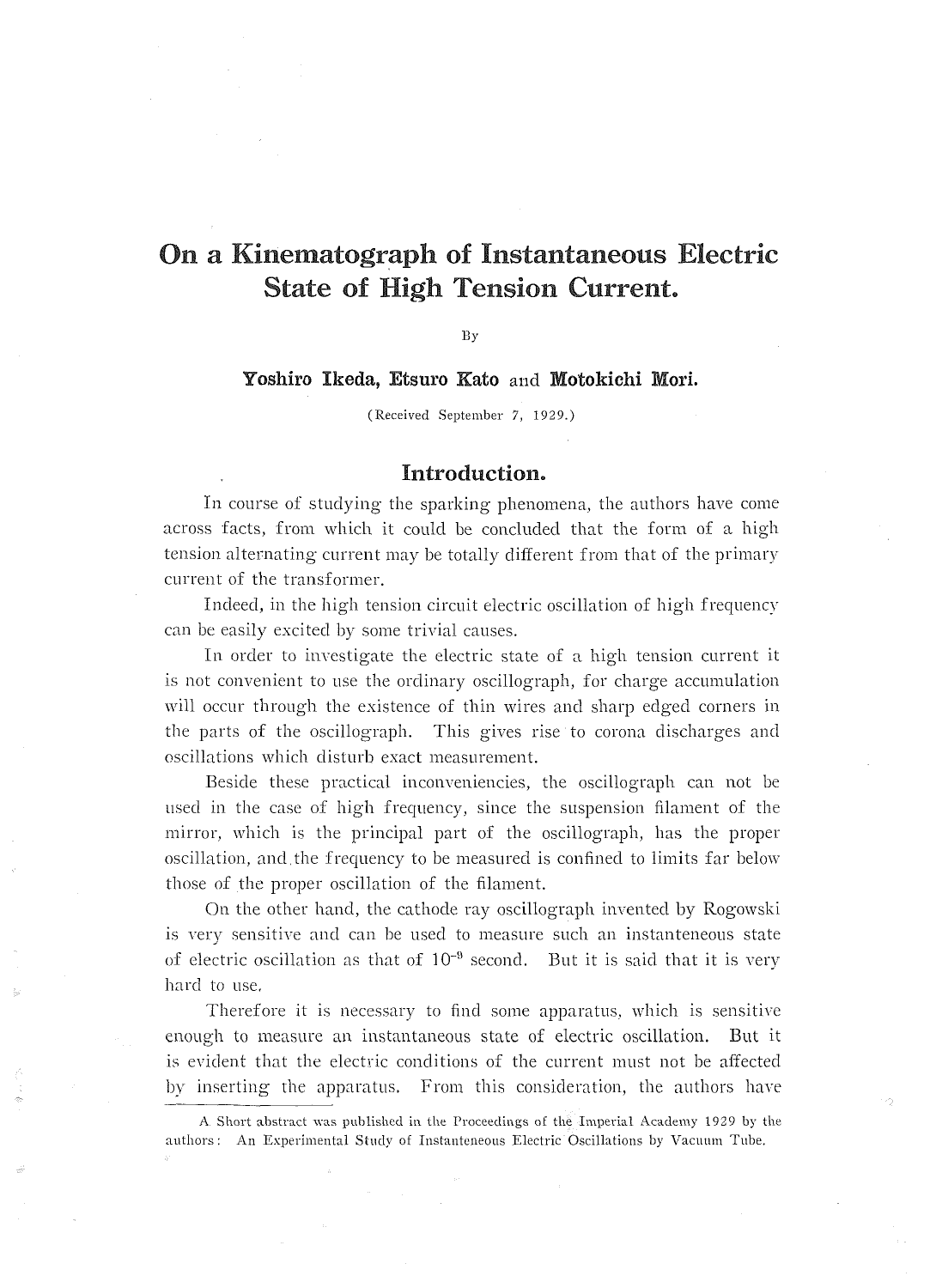# On a Kinematograph of Instantaneous Electric **State of High Tension Current.**

By

Yoshiro Ikeda, Etsuro Kato and Motokichi Mori.

(Received September 7, 1929.)

### Introduction.

In course of studying the sparking phenomena, the authors have come across facts, from which it could be concluded that the form of a high tension alternating current may be totally different from that of the primary current of the transformer.

Indeed, in the high tension circuit electric oscillation of high frequency can be easily excited by some trivial causes.

In order to investigate the electric state of a high tension current it is not convenient to use the ordinary oscillograph, for charge accumulation will occur through the existence of thin wires and sharp edged corners in the parts of the oscillograph. This gives rise to corona discharges and oscillations which disturb exact measurement.

Beside these practical inconveniencies, the oscillograph can not be used in the case of high frequency, since the suspension filament of the mirror, which is the principal part of the oscillograph, has the proper oscillation, and the frequency to be measured is confined to limits far below those of the proper oscillation of the filament.

On the other hand, the cathode ray oscillograph invented by Rogowski is very sensitive and can be used to measure such an instanteneous state of electric oscillation as that of  $10^{-9}$  second. But it is said that it is very hard to use.

Therefore it is necessary to find some apparatus, which is sensitive enough to measure an instantaneous state of electric oscillation. But it is evident that the electric conditions of the current must not be affected by inserting the apparatus. From this consideration, the authors have

A Short abstract was published in the Proceedings of the Imperial Academy 1929 by the authors: An Experimental Study of Instanteneous Electric Oscillations by Vacuum Tube.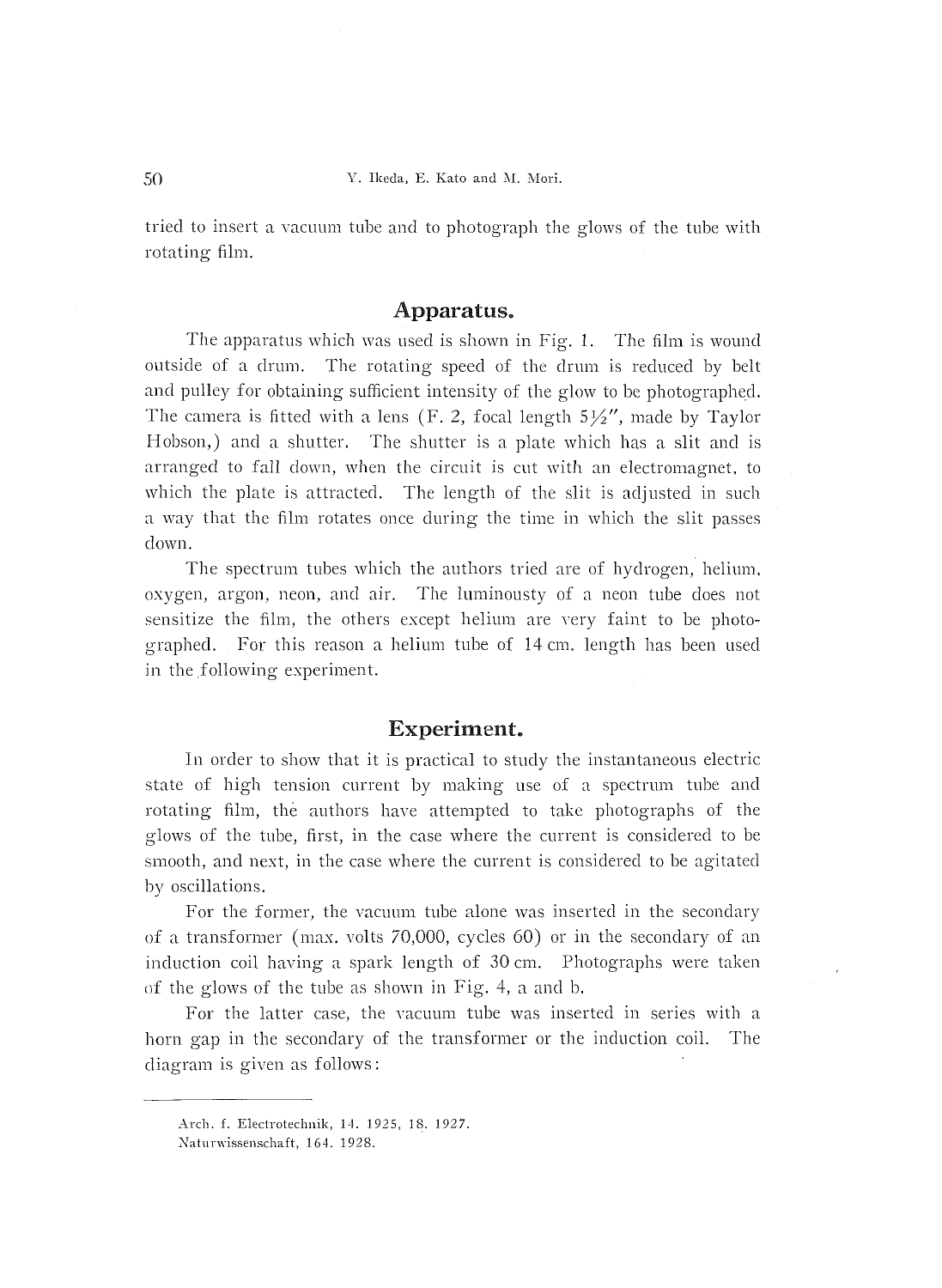tried to insert a vacuum tube and to photograph the glows of the tube with rotating film.

#### Apparatus.

 The apparatus which was used is shown in Fig. I. The film is wound outside of a drum. The rotating speed of the drum is reduced by belt and pulley for obtaining sufficient intensity of the glow to be photographed. The camera is fitted with a lens (F. 2, focal length  $5\frac{1}{2}$ ", made by Taylor Hobson,) and a shutter. The shutter is a plate which has a slit and is arranged to fall down, when the circuit is cut with an electromagnet, to which the plate is attracted. The length of the slit is adjusted in such a way that the film rotates once during the time in which the slit passes down.

The spectrum tubes which the authors tried are of hydrogen, helium, oxygen, argon, neon, and air. The luminousty of a neon tube does not sensitize the film, the others except helium are very faint to be photographed. For this reason a helium tube of 14 cm. length has been used in the following experiment.

## Experiment.

 In order to show that it is practical to study the instantaneous electric state of high tension current by making use of a spectrum tube and rotating film, the authors have attempted to take photographs of the glows of the tube, first, in the case where the current is considered to be smooth, and next, in the case where the current is considered to be agitated bv oscillations.

For the former, the vacuum tube alone was inserted in the secondary of a transformer (max. volts 70,OOO, cycles 60) or in the secondary of an induction coil having a spark length of  $30 \text{ cm}$ . Photographs were taken of the glows of the tube as shown in Fig. 4, a and b.

 For the latter case, the vacuum tube was inserted in series with a horn gap in the secondary of the transformer or the induction coil. The diagram is given as follows:

Arch. f. Electrotechnik, 14. 1925, 18. 1927.

Naturwissenschaft, 164. 1928.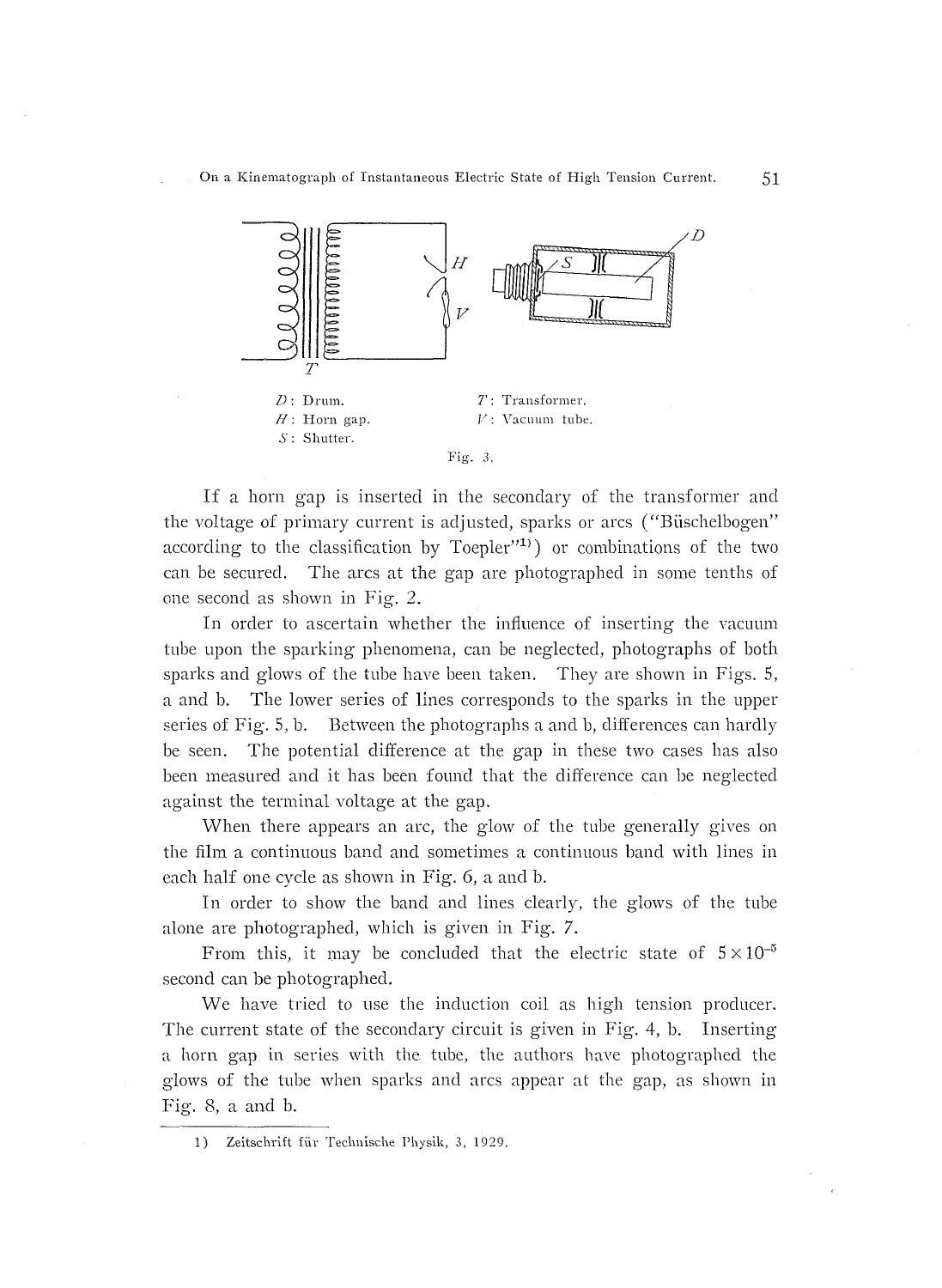

If a horn gap is inserted in the secondary of the transformer and the voltage of primary current is adjusted, sparks or arcs ("Büschelbogen" according to the classification by Toepler"<sup>1)</sup>) or combinations of the two can be secured. The arcs at the gap are photographed in some tenths of one second as shown in Fig. 2.

 In order to ascertain whether the influence of inserting the vacuum tube upon the sparking phenomena, can be neglected, photographs of both sparks and glows of the tube have been taken. They are shown in Figs. S, a and b. The lower series of lines corresponds to the sparks in the upper .series of Fig. S, b. Between the photographs a and b, differences can hardly be seen. The potential difference at the gap in these two cases has also been measured and it has been found that the difference can be neglected against the terminal voltage at the gap.

 When there appears an arc, the glow of the tube generally gives on the film a continuous band and sometimes a continuous band with lines in each half one cycle as shown in Fig. 6, a and b.

In order to show the band and lines clearly, the glows of the tube alone are photographed, which is given in Fig. 7.

From this, it may be concluded that the electric state of  $5 \times 10^{-5}$ second can be photographed.

 We have tried to use the induction coil as high tension producer. The current state of the secondary circuit is given in Fig. 4, b. Inserting a horn gap in series with the tube, the authors have photographed the glows of the tube when sparks and arcs appear at the gap, as shown in Fig, 8, a and b.

<sup>1)</sup> Zeitschrift für Technische Physik, 3, 1929.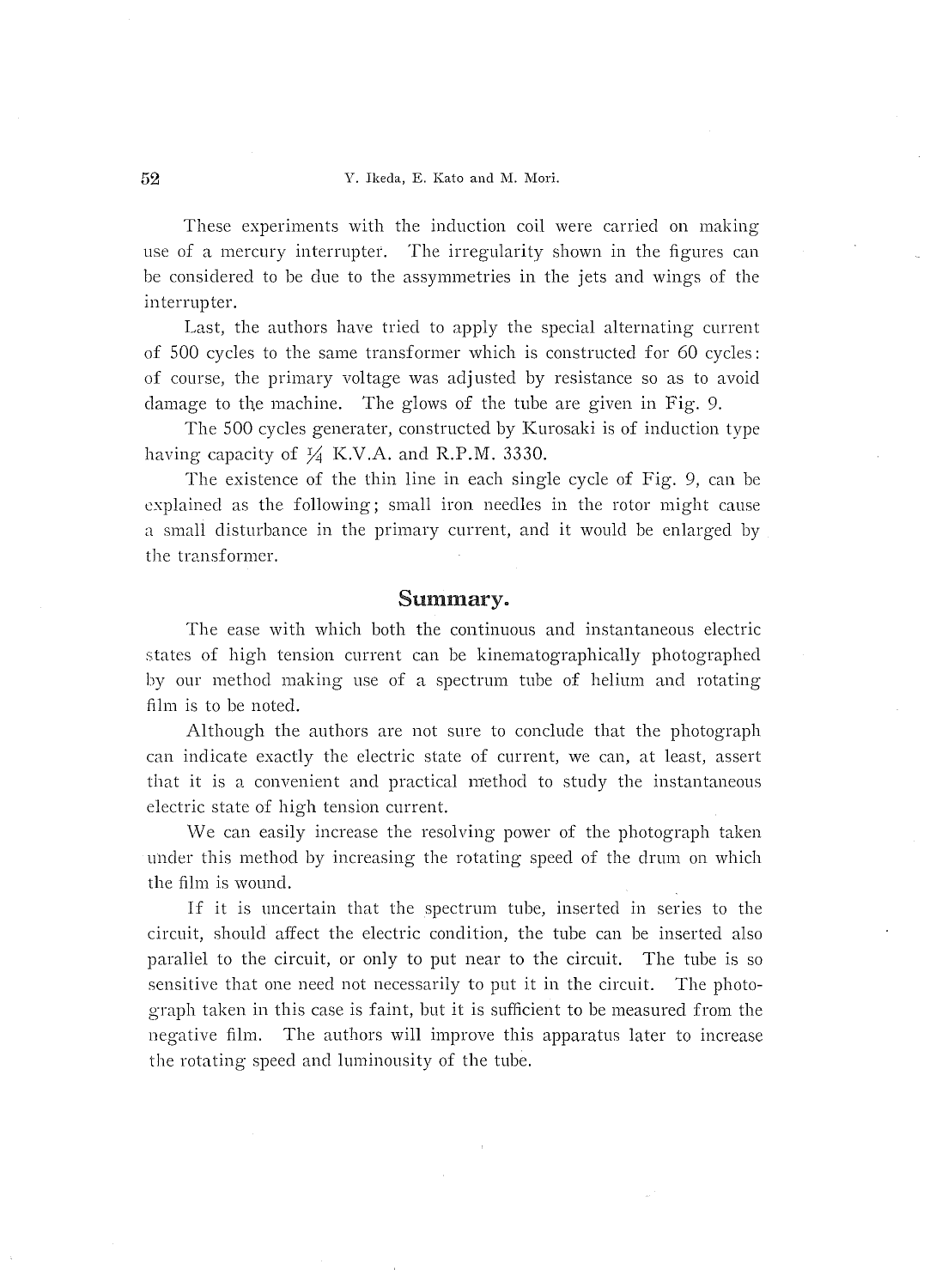#### 52 Y. Ilceda, E, Kato and M. Mori.

These experiments with the induction coil were carried on making use of a mercury interrupter. The irregularity shown in the figures can be considered to be due to the assyminetries in the jets and wings of the interrupter.

 Last, the authors have tried to apply the special alternating current of 500 cycles to the same transformer which is constructed for 60 cycles: of course, the primary voltage was adjusted by resistance so as to avoid damage to the machine. The glows of the tube are given in Fig. 9.

 The 500 cycles generater, constructed by Kurosaki is of induction type having capacity of  $\frac{1}{4}$  K.V.A. and R.P.M. 3330.

 The existence of the thin line in each single cycle of Fig. 9, can be explained as the following; small iron needles in the rotor might cause a small disturbance in the primary current, and it would be enlarged by the transformer,

# Summary.

 The ease with which both the continuous and instantaneous electric states of high tension current can be kinematographically photographed by our method making use of a spectrum tube of helium and rotating film is to be noted.

 Although the authors are not sure to conclude that the photograph can indicate exactly the electric state of current, we can, at least, assert that it is a convenient and practical method to study the instantaneous electric state of high tension current.

We can easily increase the resolving power of the photograph taken under this method by increasing the rotating speed of the drum on which the film is wound.

If it is uncertain that the spectrum tube, inserted in series to the circuit, should affect the electric condition, the tube can be inserted also parallel to the circuit, or only to put near to the circuit. The tube is so sensitive that one need not necessarily to put it in the circuit. The photo graph taken in this case is faint, but it is sufficient to be measured from the negative film, The authors will improve this apparatus Iater to increase the rotating speed and luminousity of the tube,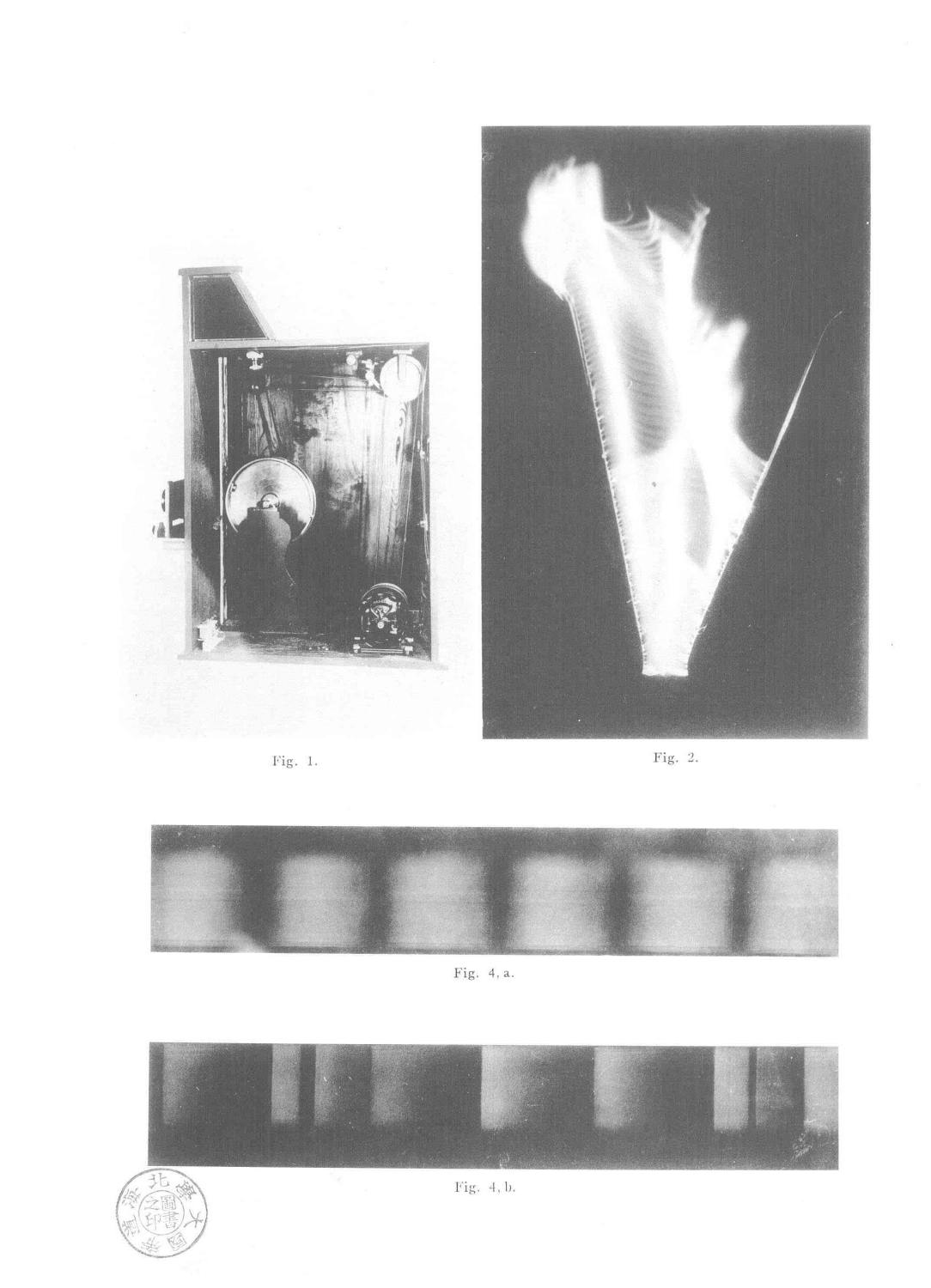

Fig. 1.



Fig. 2.



Fig. 4, a.





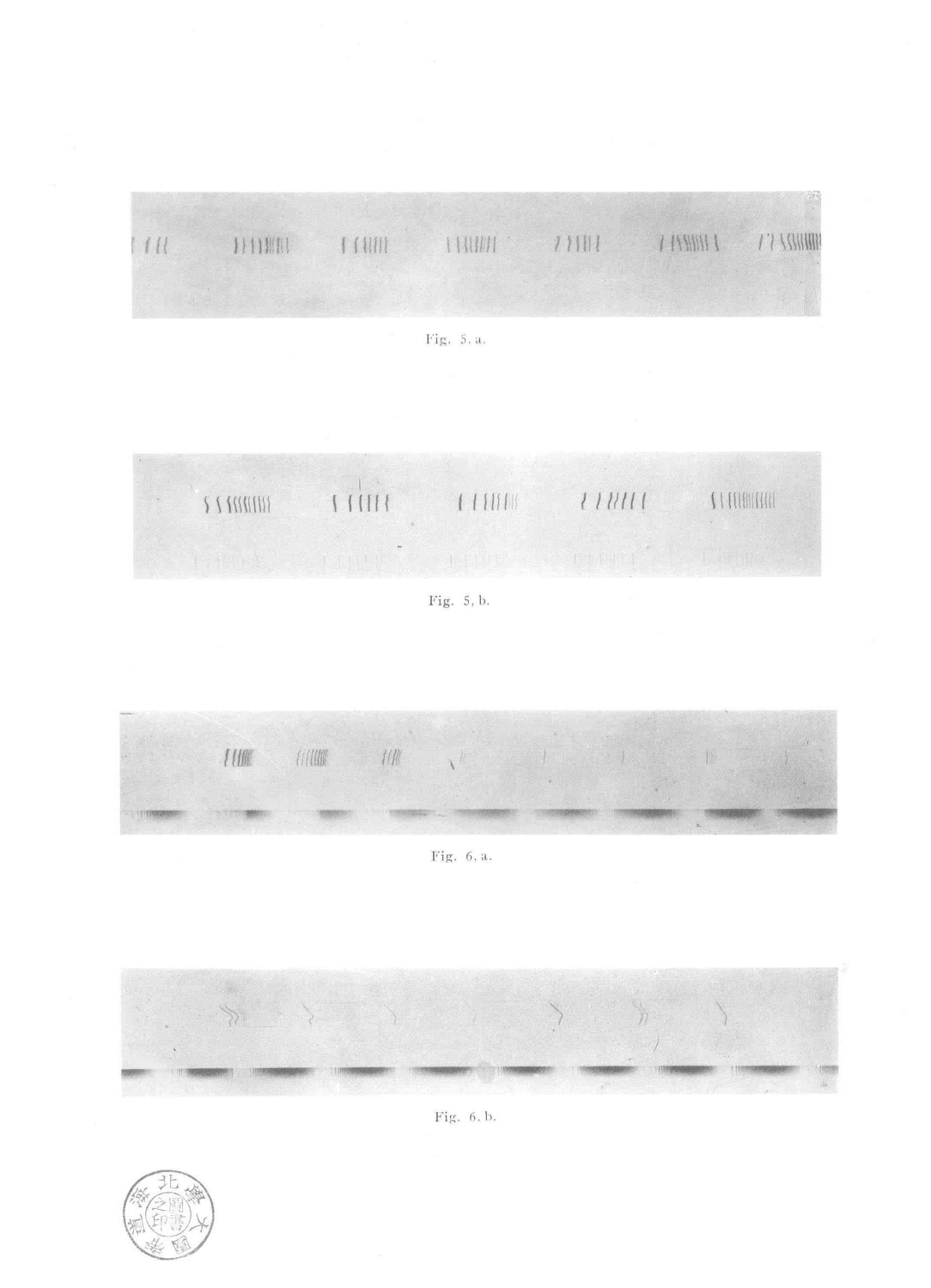

Fig. 5.a.

 $111111$  $\frac{1}{1}$  $110000$ 

Fig.  $5, b.$ 

 $1000$ 有血能  $11$  $\sqrt{k}$ 

Fig. 6, a.